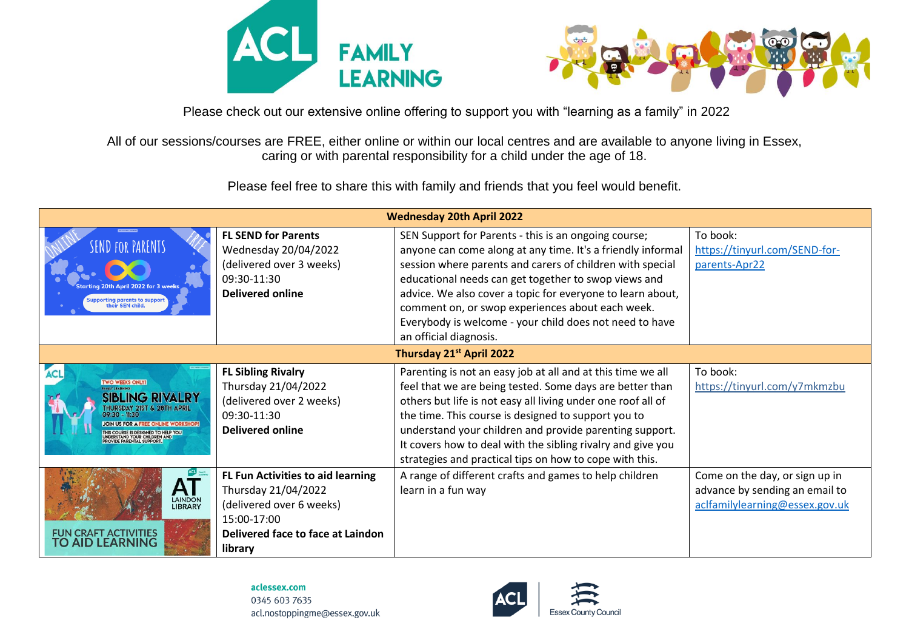



Please check out our extensive online offering to support you with "learning as a family" in 2022

All of our sessions/courses are FREE, either online or within our local centres and are available to anyone living in Essex, caring or with parental responsibility for a child under the age of 18.

Please feel free to share this with family and friends that you feel would benefit.

| <b>Wednesday 20th April 2022</b>                                                                                                                                                                                                                                 |                                                                                                                                                            |                                                                                                                                                                                                                                                                                                                                                                                                                                                 |                                                                                                    |  |  |
|------------------------------------------------------------------------------------------------------------------------------------------------------------------------------------------------------------------------------------------------------------------|------------------------------------------------------------------------------------------------------------------------------------------------------------|-------------------------------------------------------------------------------------------------------------------------------------------------------------------------------------------------------------------------------------------------------------------------------------------------------------------------------------------------------------------------------------------------------------------------------------------------|----------------------------------------------------------------------------------------------------|--|--|
| a 20th April 2022 for 3 weeks<br> <br>  Supporting parents to support<br>  their SEN child.                                                                                                                                                                      | <b>FL SEND for Parents</b><br>Wednesday 20/04/2022<br>(delivered over 3 weeks)<br>09:30-11:30<br><b>Delivered online</b>                                   | SEN Support for Parents - this is an ongoing course;<br>anyone can come along at any time. It's a friendly informal<br>session where parents and carers of children with special<br>educational needs can get together to swop views and<br>advice. We also cover a topic for everyone to learn about,<br>comment on, or swop experiences about each week.<br>Everybody is welcome - your child does not need to have<br>an official diagnosis. | To book:<br>https://tinyurl.com/SEND-for-<br>parents-Apr22                                         |  |  |
| Thursday 21st April 2022                                                                                                                                                                                                                                         |                                                                                                                                                            |                                                                                                                                                                                                                                                                                                                                                                                                                                                 |                                                                                                    |  |  |
| <b>ACL</b><br><b>TWO WEEKS ONLY!</b><br><b>SIBLING RIVALRY</b><br>THURSDAY 21ST & 28TH APRIL<br>$09:30 - 11:30$<br><b>JOIN US FOR A FREE ONLINE WORKSHOP</b><br>THIS COURSE IS DESIGNED TO HELP YOU<br>UNDERSTAND YOUR CHILDREN AND<br>PROVIDE PARENTAL SUPPORT. | <b>FL Sibling Rivalry</b><br>Thursday 21/04/2022<br>(delivered over 2 weeks)<br>09:30-11:30<br><b>Delivered online</b>                                     | Parenting is not an easy job at all and at this time we all<br>feel that we are being tested. Some days are better than<br>others but life is not easy all living under one roof all of<br>the time. This course is designed to support you to<br>understand your children and provide parenting support.<br>It covers how to deal with the sibling rivalry and give you<br>strategies and practical tips on how to cope with this.             | To book:<br>https://tinyurl.com/y7mkmzbu                                                           |  |  |
| <b>LAINDON</b><br><b>LIBRARY</b><br>FUN CRAFT ACTIVITIES<br>TO AID LEARNING                                                                                                                                                                                      | <b>FL Fun Activities to aid learning</b><br>Thursday 21/04/2022<br>(delivered over 6 weeks)<br>15:00-17:00<br>Delivered face to face at Laindon<br>library | A range of different crafts and games to help children<br>learn in a fun way                                                                                                                                                                                                                                                                                                                                                                    | Come on the day, or sign up in<br>advance by sending an email to<br>aclfamilylearning@essex.gov.uk |  |  |

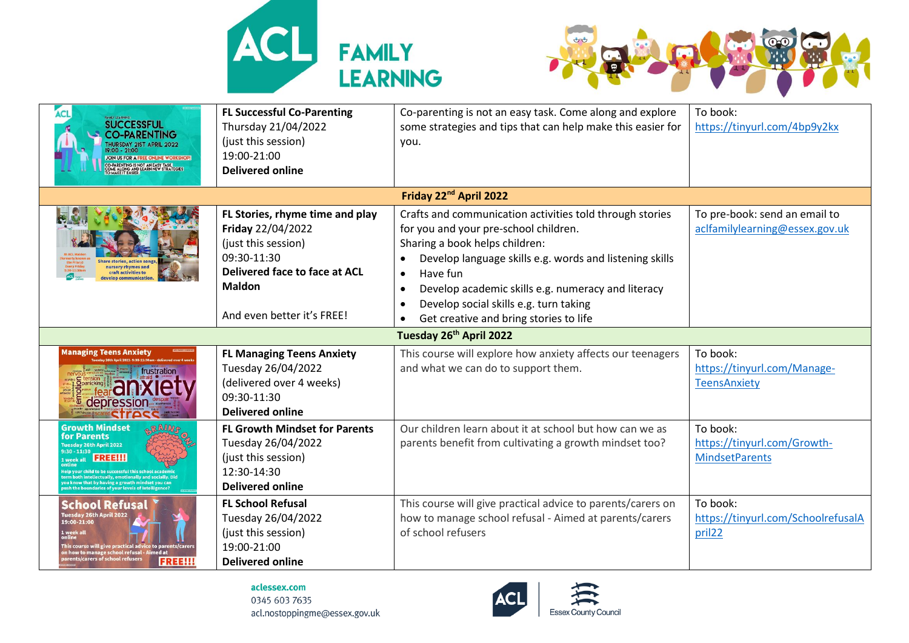



| <b>SUCCESSFUL</b><br><b>CO-PARENTING</b><br>JOIN US FOR A FREE ONLINE WORK!<br>CO-PARENTING IS NOT AN EASY TASK.                                                                                                                            | <b>FL Successful Co-Parenting</b><br>Thursday 21/04/2022<br>(just this session)<br>19:00-21:00<br><b>Delivered online</b>                                                  | Co-parenting is not an easy task. Come along and explore<br>some strategies and tips that can help make this easier for<br>you.                                                                                                                                                                                                                                                                          | To book:<br>https://tinyurl.com/4bp9y2kx                             |
|---------------------------------------------------------------------------------------------------------------------------------------------------------------------------------------------------------------------------------------------|----------------------------------------------------------------------------------------------------------------------------------------------------------------------------|----------------------------------------------------------------------------------------------------------------------------------------------------------------------------------------------------------------------------------------------------------------------------------------------------------------------------------------------------------------------------------------------------------|----------------------------------------------------------------------|
|                                                                                                                                                                                                                                             |                                                                                                                                                                            | Friday 22 <sup>nd</sup> April 2022                                                                                                                                                                                                                                                                                                                                                                       |                                                                      |
|                                                                                                                                                                                                                                             | FL Stories, rhyme time and play<br>Friday 22/04/2022<br>(just this session)<br>09:30-11:30<br>Delivered face to face at ACL<br><b>Maldon</b><br>And even better it's FREE! | Crafts and communication activities told through stories<br>for you and your pre-school children.<br>Sharing a book helps children:<br>Develop language skills e.g. words and listening skills<br>Have fun<br>$\bullet$<br>Develop academic skills e.g. numeracy and literacy<br>$\bullet$<br>Develop social skills e.g. turn taking<br>$\bullet$<br>Get creative and bring stories to life<br>$\bullet$ | To pre-book: send an email to<br>aclfamilylearning@essex.gov.uk      |
|                                                                                                                                                                                                                                             |                                                                                                                                                                            | Tuesday 26th April 2022                                                                                                                                                                                                                                                                                                                                                                                  |                                                                      |
| <b>Managing Teens Anxiety</b><br>frustration<br>depression                                                                                                                                                                                  | <b>FL Managing Teens Anxiety</b><br>Tuesday 26/04/2022<br>(delivered over 4 weeks)<br>09:30-11:30<br><b>Delivered online</b>                                               | This course will explore how anxiety affects our teenagers<br>and what we can do to support them.                                                                                                                                                                                                                                                                                                        | To book:<br>https://tinyurl.com/Manage-<br><b>TeensAnxiety</b>       |
| <b>Growth Mindset</b><br>for Parents<br>Tuesday 26th April 2022<br>$9:30 - 11:30$<br>1 week all<br>ally, emotionally and socially. Dic<br>ush the houndaries of your levels of intellie                                                     | <b>FL Growth Mindset for Parents</b><br>Tuesday 26/04/2022<br>(just this session)<br>12:30-14:30<br><b>Delivered online</b>                                                | Our children learn about it at school but how can we as<br>parents benefit from cultivating a growth mindset too?                                                                                                                                                                                                                                                                                        | To book:<br>https://tinyurl.com/Growth-<br><b>MindsetParents</b>     |
| <b>School Refusal</b><br>Tuesday 26th April 2022<br>19:00-21:00<br>I. week all<br>is course will give practical advice to parents/carer<br>on how to manage school refusal - Aimed at<br>arents/carers of school refusers<br><b>FREE!!!</b> | <b>FL School Refusal</b><br>Tuesday 26/04/2022<br>(just this session)<br>19:00-21:00<br><b>Delivered online</b>                                                            | This course will give practical advice to parents/carers on<br>how to manage school refusal - Aimed at parents/carers<br>of school refusers                                                                                                                                                                                                                                                              | To book:<br>https://tinyurl.com/SchoolrefusalA<br>pril <sub>22</sub> |

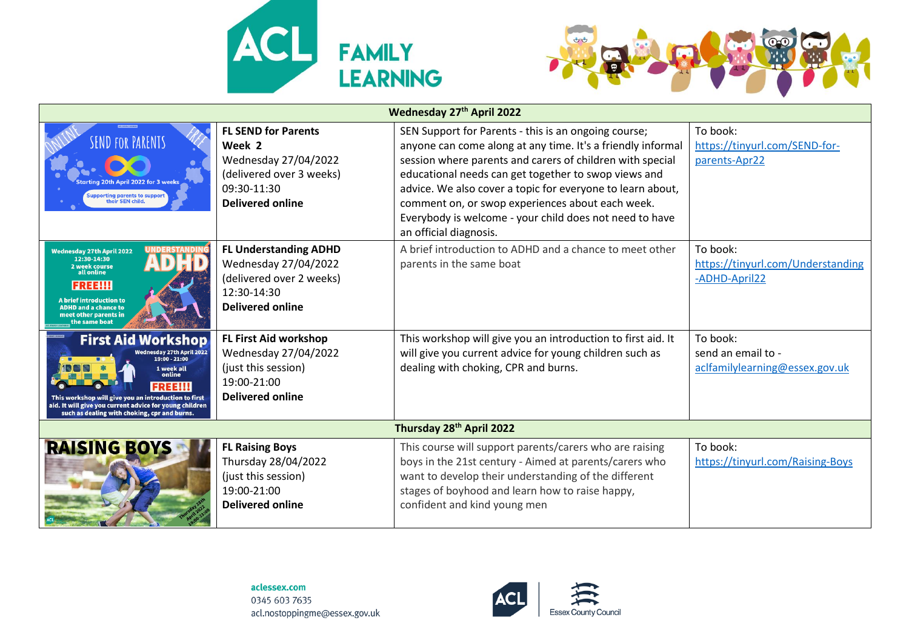



| Wednesday 27th April 2022                                                                                                                                                                                                                                                                     |                                                                                                                                    |                                                                                                                                                                                                                                                                                                                                                                                                                                                 |                                                                  |  |  |
|-----------------------------------------------------------------------------------------------------------------------------------------------------------------------------------------------------------------------------------------------------------------------------------------------|------------------------------------------------------------------------------------------------------------------------------------|-------------------------------------------------------------------------------------------------------------------------------------------------------------------------------------------------------------------------------------------------------------------------------------------------------------------------------------------------------------------------------------------------------------------------------------------------|------------------------------------------------------------------|--|--|
| <b>SEND FOR PARENTS</b><br>ırtina 20th April 2022 for 3 weeks<br>upporting parents to support<br>their SEN child.                                                                                                                                                                             | <b>FL SEND for Parents</b><br>Week 2<br>Wednesday 27/04/2022<br>(delivered over 3 weeks)<br>09:30-11:30<br><b>Delivered online</b> | SEN Support for Parents - this is an ongoing course;<br>anyone can come along at any time. It's a friendly informal<br>session where parents and carers of children with special<br>educational needs can get together to swop views and<br>advice. We also cover a topic for everyone to learn about,<br>comment on, or swop experiences about each week.<br>Everybody is welcome - your child does not need to have<br>an official diagnosis. | To book:<br>https://tinyurl.com/SEND-for-<br>parents-Apr22       |  |  |
| <b>Wednesday 27th April 2022</b><br>12:30-14:30<br>2 week course<br>all online<br><b>FREE!!!</b><br><b>A brief introduction to</b><br><b>ADHD and a chance to</b><br>meet other parents in<br>the same boat                                                                                   | <b>FL Understanding ADHD</b><br>Wednesday 27/04/2022<br>(delivered over 2 weeks)<br>12:30-14:30<br><b>Delivered online</b>         | A brief introduction to ADHD and a chance to meet other<br>parents in the same boat                                                                                                                                                                                                                                                                                                                                                             | To book:<br>https://tinyurl.com/Understanding<br>-ADHD-April22   |  |  |
| <b>First Aid Workshop</b><br><b>Nednesday 27th April 2022</b><br>$19:00 - 21:00$<br>1 week all<br>online<br><b>FREE!!!</b><br>This workshop will give you an introduction to first<br>aid. It will give you current advice for young children<br>such as dealing with choking, cpr and burns. | <b>FL First Aid workshop</b><br>Wednesday 27/04/2022<br>(just this session)<br>19:00-21:00<br><b>Delivered online</b>              | This workshop will give you an introduction to first aid. It<br>will give you current advice for young children such as<br>dealing with choking, CPR and burns.                                                                                                                                                                                                                                                                                 | To book:<br>send an email to -<br>aclfamilylearning@essex.gov.uk |  |  |
| Thursday 28th April 2022                                                                                                                                                                                                                                                                      |                                                                                                                                    |                                                                                                                                                                                                                                                                                                                                                                                                                                                 |                                                                  |  |  |
| <b>RAISING BOYS</b>                                                                                                                                                                                                                                                                           | <b>FL Raising Boys</b><br>Thursday 28/04/2022<br>(just this session)<br>19:00-21:00<br><b>Delivered online</b>                     | This course will support parents/carers who are raising<br>boys in the 21st century - Aimed at parents/carers who<br>want to develop their understanding of the different<br>stages of boyhood and learn how to raise happy,<br>confident and kind young men                                                                                                                                                                                    | To book:<br>https://tinyurl.com/Raising-Boys                     |  |  |